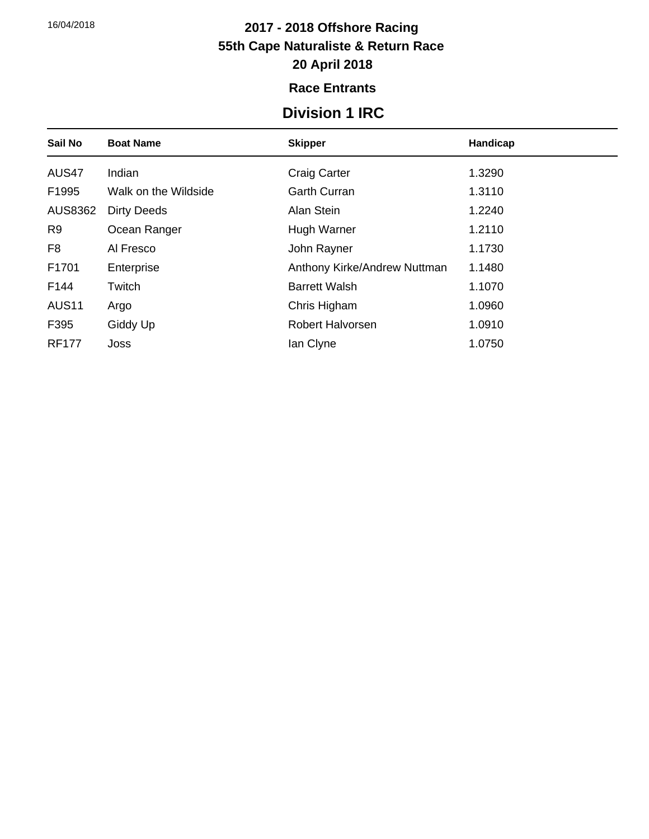### **2017 - 2018 Offshore Racing 55th Cape Naturaliste & Return Race 20 April 2018**

#### **Race Entrants**

### **Division 1 IRC**

| Sail No        | <b>Boat Name</b>     | <b>Skipper</b>               | Handicap |
|----------------|----------------------|------------------------------|----------|
| AUS47          | Indian               | <b>Craig Carter</b>          | 1.3290   |
| F1995          | Walk on the Wildside | <b>Garth Curran</b>          | 1.3110   |
| <b>AUS8362</b> | <b>Dirty Deeds</b>   | Alan Stein                   | 1.2240   |
| R <sub>9</sub> | Ocean Ranger         | Hugh Warner                  | 1.2110   |
| F <sub>8</sub> | Al Fresco            | John Rayner                  | 1.1730   |
| F1701          | Enterprise           | Anthony Kirke/Andrew Nuttman | 1.1480   |
| F144           | Twitch               | <b>Barrett Walsh</b>         | 1.1070   |
| <b>AUS11</b>   | Argo                 | Chris Higham                 | 1.0960   |
| F395           | Giddy Up             | Robert Halvorsen             | 1.0910   |
| <b>RF177</b>   | Joss                 | lan Clyne                    | 1.0750   |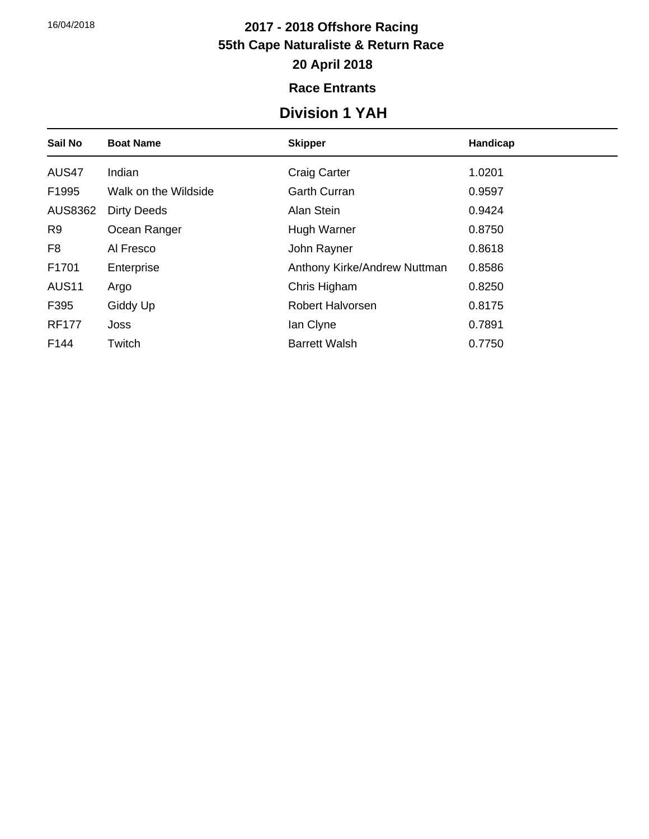### **2017 - 2018 Offshore Racing 55th Cape Naturaliste & Return Race 20 April 2018**

### **Race Entrants**

## **Division 1 YAH**

| Sail No        | <b>Boat Name</b>     | <b>Skipper</b>               | Handicap |
|----------------|----------------------|------------------------------|----------|
| AUS47          | Indian               | <b>Craig Carter</b>          | 1.0201   |
| F1995          | Walk on the Wildside | <b>Garth Curran</b>          | 0.9597   |
| <b>AUS8362</b> | <b>Dirty Deeds</b>   | Alan Stein                   | 0.9424   |
| R <sub>9</sub> | Ocean Ranger         | Hugh Warner                  | 0.8750   |
| F <sub>8</sub> | Al Fresco            | John Rayner                  | 0.8618   |
| F1701          | Enterprise           | Anthony Kirke/Andrew Nuttman | 0.8586   |
| <b>AUS11</b>   | Argo                 | Chris Higham                 | 0.8250   |
| F395           | Giddy Up             | Robert Halvorsen             | 0.8175   |
| <b>RF177</b>   | Joss                 | lan Clyne                    | 0.7891   |
| F144           | Twitch               | <b>Barrett Walsh</b>         | 0.7750   |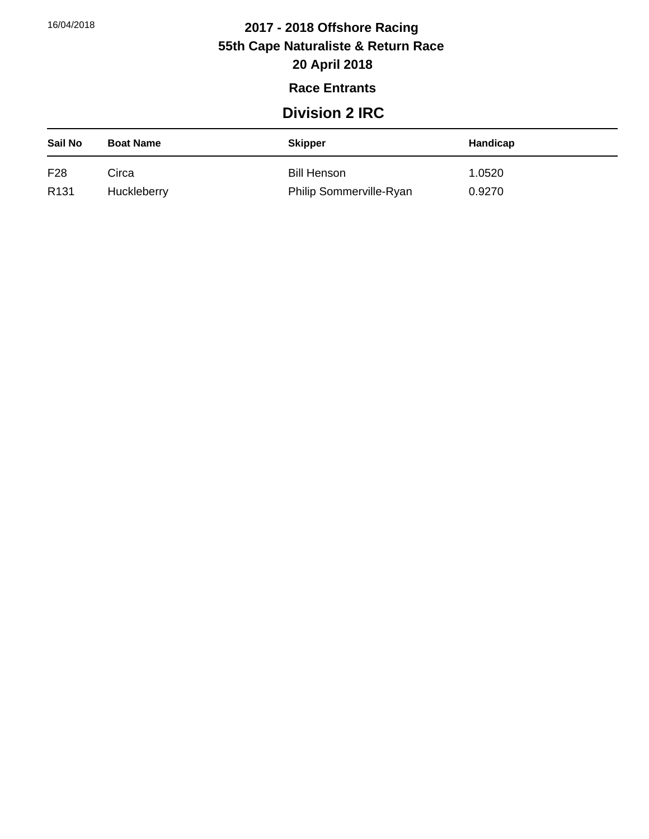# **2017 - 2018 Offshore Racing 55th Cape Naturaliste & Return Race**

## **20 April 2018**

#### **Race Entrants**

### **Division 2 IRC**

| Sail No          | <b>Boat Name</b> | <b>Skipper</b>          | Handicap |
|------------------|------------------|-------------------------|----------|
| F28              | Circa            | <b>Bill Henson</b>      | .0520    |
| R <sub>131</sub> | Huckleberry      | Philip Sommerville-Ryan | 0.9270   |